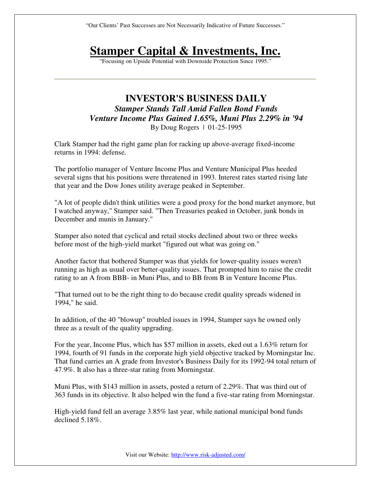"Our Clients' Past Successes are Not Necessarily Indicative of Future Successes."

## **Stamper Capital & Investments, Inc.**

"Focusing on Upside Potential with Downside Protection Since 1995."

## **INVESTOR'S BUSINESS DAILY**  *Stamper Stands Tall Amid Fallen Bond Funds Venture Income Plus Gained 1.65%, Muni Plus 2.29% in '94*  By Doug Rogers | 01-25-1995

Clark Stamper had the right game plan for racking up above-average fixed-income returns in 1994: defense.

The portfolio manager of Venture Income Plus and Venture Municipal Plus heeded several signs that his positions were threatened in 1993. Interest rates started rising late that year and the Dow Jones utility average peaked in September.

"A lot of people didn't think utilities were a good proxy for the bond market anymore, but I watched anyway," Stamper said. "Then Treasuries peaked in October, junk bonds in December and munis in January."

Stamper also noted that cyclical and retail stocks declined about two or three weeks before most of the high-yield market "figured out what was going on."

Another factor that bothered Stamper was that yields for lower-quality issues weren't running as high as usual over better-quality issues. That prompted him to raise the credit rating to an A from BBB- in Muni Plus, and to BB from B in Venture Income Plus.

"That turned out to be the right thing to do because credit quality spreads widened in 1994," he said.

In addition, of the 40 "blowup" troubled issues in 1994, Stamper says he owned only three as a result of the quality upgrading.

For the year, Income Plus, which has \$57 million in assets, eked out a 1.63% return for 1994, fourth of 91 funds in the corporate high yield objective tracked by Morningstar Inc. That fund carries an A grade from Investor's Business Daily for its 1992-94 total return of 47.9%. It also has a three-star rating from Morningstar.

Muni Plus, with \$143 million in assets, posted a return of 2.29%. That was third out of 363 funds in its objective. It also helped win the fund a five-star rating from Morningstar.

High-yield fund fell an average 3.85% last year, while national municipal bond funds declined 5.18%.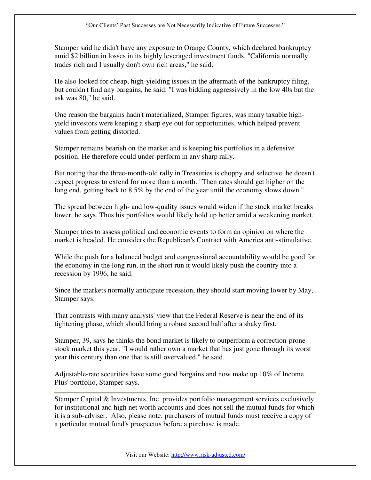Stamper said he didn't have any exposure to Orange County, which declared bankruptcy amid \$2 billion in losses in its highly leveraged investment funds. "California normally trades rich and I usually don't own rich areas," he said.

He also looked for cheap, high-yielding issues in the aftermath of the bankruptcy filing, but couldn't find any bargains, he said. "I was bidding aggressively in the low 40s but the ask was 80," he said.

One reason the bargains hadn't materialized, Stamper figures, was many taxable highyield investors were keeping a sharp eye out for opportunities, which helped prevent values from getting distorted.

Stamper remains bearish on the market and is keeping his portfolios in a defensive position. He therefore could under-perform in any sharp rally.

But noting that the three-month-old rally in Treasuries is choppy and selective, he doesn't expect progress to extend for more than a month. "Then rates should get higher on the long end, getting back to 8.5% by the end of the year until the economy slows down."

The spread between high- and low-quality issues would widen if the stock market breaks lower, he says. Thus his portfolios would likely hold up better amid a weakening market.

Stamper tries to assess political and economic events to form an opinion on where the market is headed. He considers the Republican's Contract with America anti-stimulative.

While the push for a balanced budget and congressional accountability would be good for the economy in the long run, in the short run it would likely push the country into a recession by 1996, he said.

Since the markets normally anticipate recession, they should start moving lower by May, Stamper says.

That contrasts with many analysts' view that the Federal Reserve is near the end of its tightening phase, which should bring a robust second half after a shaky first.

Stamper, 39, says he thinks the bond market is likely to outperform a correction-prone stock market this year. "I would rather own a market that has just gone through its worst year this century than one that is still overvalued," he said.

Adjustable-rate securities have some good bargains and now make up 10% of Income Plus' portfolio, Stamper says.

Stamper Capital & Investments, Inc. provides portfolio management services exclusively for institutional and high net worth accounts and does not sell the mutual funds for which it is a sub-adviser. Also, please note: purchasers of mutual funds must receive a copy of a particular mutual fund's prospectus before a purchase is made.